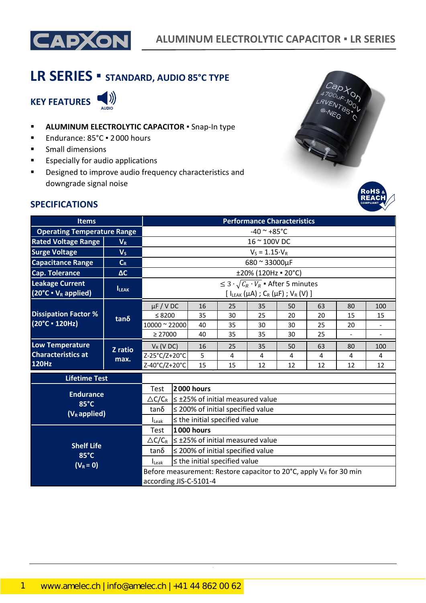

# **LR SERIES ▪ STANDARD, AUDIO 85°C TYPE**

**KEY FEATURES** 



- **E** ALUMINUM ELECTROLYTIC CAPACITOR . Snap-In type
- Endurance: 85°C · 2000 hours
- Small dimensions
- Especially for audio applications
- Designed to improve audio frequency characteristics and downgrade signal noise



#### **SPECIFICATIONS**

| <b>Items</b>                                                        | <b>Performance Characteristics</b> |                        |              |                                        |    |                                                                                                      |    |    |    |                          |
|---------------------------------------------------------------------|------------------------------------|------------------------|--------------|----------------------------------------|----|------------------------------------------------------------------------------------------------------|----|----|----|--------------------------|
| <b>Operating Temperature Range</b>                                  |                                    | $-40$ ~ $+85$ °C       |              |                                        |    |                                                                                                      |    |    |    |                          |
| <b>Rated Voltage Range</b>                                          | $V_R$                              |                        | 16 ~ 100V DC |                                        |    |                                                                                                      |    |    |    |                          |
| <b>Surge Voltage</b>                                                | V <sub>S</sub>                     |                        |              |                                        |    | $V_S = 1.15 \cdot V_R$                                                                               |    |    |    |                          |
| <b>Capacitance Range</b>                                            | $C_R$                              |                        |              |                                        |    | 680 ~ 33000µF                                                                                        |    |    |    |                          |
| <b>Cap. Tolerance</b>                                               | $\Delta C$                         |                        |              |                                        |    | ±20% (120Hz = 20°C)                                                                                  |    |    |    |                          |
| <b>Leakage Current</b><br>$(20^{\circ}C \cdot V_R \text{ applied})$ | <b>ILEAK</b>                       |                        |              |                                        |    | $\leq 3 \cdot \sqrt{C_R \cdot V_R}$ • After 5 minutes<br>$[ I_{LEAK}(\mu A) ; C_R(\mu F) ; V_R(V) ]$ |    |    |    |                          |
|                                                                     |                                    | $\mu$ F / V DC         |              | 16                                     | 25 | 35                                                                                                   | 50 | 63 | 80 | 100                      |
| <b>Dissipation Factor %</b>                                         | $tan\delta$                        | ≤ 8200                 |              | 35                                     | 30 | 25                                                                                                   | 20 | 20 | 15 | 15                       |
| (20°C · 120Hz)                                                      |                                    | 10000 ~ 22000          |              | 40                                     | 35 | 30                                                                                                   | 30 | 25 | 20 | $\overline{\phantom{a}}$ |
|                                                                     |                                    | $\geq 27000$           |              | 40                                     | 35 | 35                                                                                                   | 30 | 25 |    |                          |
| <b>Low Temperature</b>                                              | Z ratio                            | $V_R$ (V DC)           |              | 16                                     | 25 | 35                                                                                                   | 50 | 63 | 80 | 100                      |
| <b>Characteristics at</b>                                           | max.                               | Z-25°C/Z+20°C          |              | 5                                      | 4  | 4                                                                                                    | 4  | 4  | 4  | 4                        |
| <b>120Hz</b>                                                        |                                    | Z-40°C/Z+20°C          |              | 15                                     | 15 | 12                                                                                                   | 12 | 12 | 12 | 12                       |
| <b>Lifetime Test</b>                                                |                                    |                        |              |                                        |    |                                                                                                      |    |    |    |                          |
|                                                                     |                                    | 2000 hours<br>Test     |              |                                        |    |                                                                                                      |    |    |    |                          |
| <b>Endurance</b><br>85°C                                            |                                    |                        |              |                                        |    | $\triangle C/C_R$ $\leq$ ±25% of initial measured value                                              |    |    |    |                          |
| $(V_R$ applied)                                                     |                                    | $tan\delta$            |              | $\leq$ 200% of initial specified value |    |                                                                                                      |    |    |    |                          |
|                                                                     |                                    | Leak                   |              | $\leq$ the initial specified value     |    |                                                                                                      |    |    |    |                          |
|                                                                     |                                    | Test                   |              | <b>1000 hours</b>                      |    |                                                                                                      |    |    |    |                          |
| <b>Shelf Life</b>                                                   |                                    |                        |              |                                        |    | $\triangle C/C_R$   $\leq$ ±25% of initial measured value                                            |    |    |    |                          |
| 85°C                                                                |                                    | $tan\delta$            |              | $\leq$ 200% of initial specified value |    |                                                                                                      |    |    |    |                          |
| $(V_R = 0)$                                                         |                                    | $I_{\text{Leak}}$      |              | $\leq$ the initial specified value     |    |                                                                                                      |    |    |    |                          |
|                                                                     |                                    | according JIS-C-5101-4 |              |                                        |    | Before measurement: Restore capacitor to 20 $^{\circ}$ C, apply V <sub>R</sub> for 30 min            |    |    |    |                          |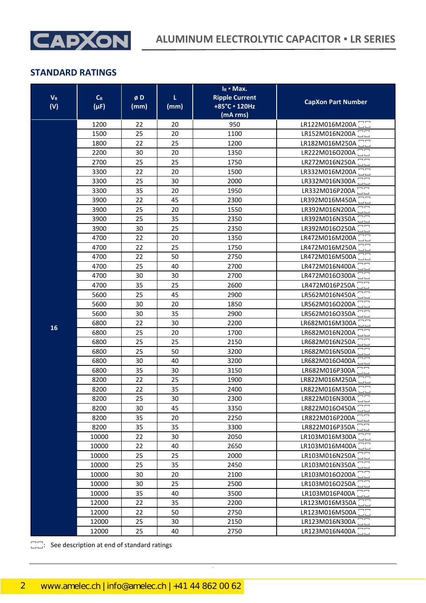

| <b>V</b> <sub>R</sub><br>(V) | $C_R$<br>$(\mu F)$ | øD<br>(mm) | τ<br>(mm) | $I_R$ • Max.<br><b>Ripple Current</b><br>+85°C · 120Hz<br>(mA rms) | <b>CapXon Part Number</b>   |
|------------------------------|--------------------|------------|-----------|--------------------------------------------------------------------|-----------------------------|
|                              | 1200               | 22         | 20        | 950                                                                | LR122M016M200A <sup>-</sup> |
|                              | 1500               | 25         | 20        | 1100                                                               | LR152M016N200A              |
|                              | 1800               | 22         | 25        | 1200                                                               | LR182M016M250A              |
|                              | 2200               | 30         | 20        | 1350                                                               | LR222M016O200A              |
|                              | 2700               | 25         | 25        | 1750                                                               | LR272M016N250A              |
|                              | 3300               | 22         | 20        | 1500                                                               | LR332M016M200A              |
|                              | 3300               | 25         | 30        | 2000                                                               | LR332M016N300A              |
|                              | 3300               | 35         | 20        | 1950                                                               | LR332M016P200A              |
|                              | 3900               | 22         | 45        | 2300                                                               | LR392M016M450A              |
|                              | 3900               | 25         | 20        | 1550                                                               | LR392M016N200A              |
|                              | 3900               | 25         | 35        | 2350                                                               | LR392M016N350A <sup>-</sup> |
|                              | 3900               | 30         | 25        | 2350                                                               | LR392M016O250A              |
|                              | 4700               | 22         | 20        | 1350                                                               | LR472M016M200A              |
|                              | 4700               | 22         | 25        | 1750                                                               | LR472M016M250A              |
|                              | 4700               | 22         | 50        | 2750                                                               | LR472M016M500A              |
|                              | 4700               | 25         | 40        | 2700                                                               | LR472M016N400A              |
|                              | 4700               | 30         | 30        | 2700                                                               | LR472M016O300A              |
|                              | 4700               | 35         | 25        | 2600                                                               | LR472M016P250A              |
|                              | 5600               | 25         | 45        | 2900                                                               | LR562M016N450A              |
|                              | 5600               | 30         | 20        | 1850                                                               | LR562M016O200A              |
|                              | 5600               | 30         | 35        | 2900                                                               | LR562M016O350A              |
| 16                           | 6800               | 22         | 30        | 2200                                                               | LR682M016M300A              |
|                              | 6800               | 25         | 20        | 1700                                                               | LR682M016N200A              |
|                              | 6800               | 25         | 25        | 2150                                                               | LR682M016N250A              |
|                              | 6800               | 25         | 50        | 3200                                                               | LR682M016N500A              |
|                              | 6800               | 30         | 40        | 3200                                                               | LR682M016O400A              |
|                              | 6800               | 35         | 30        | 3150                                                               | LR682M016P300A              |
|                              | 8200               | 22         | 25        | 1900                                                               | LR822M016M250A              |
|                              | 8200               | 22         | 35        | 2400                                                               | LR822M016M350A □□           |
|                              | 8200               | 25         | 30        | 2300                                                               | LR822M016N300A 22           |
|                              | 8200               | 30         | 45        | 3350                                                               | LR822M016O450A              |
|                              | 8200               | 35         | 20        | 2250                                                               | LR822M016P200A <sup>-</sup> |
|                              | 8200               | 35         | 35        | 3300                                                               | LR822M016P350A <sup>-</sup> |
|                              | 10000              | 22         | 30        | 2050                                                               | LR103M016M300A              |
|                              | 10000              | 22         | 40        | 2650                                                               | LR103M016M400A              |
|                              | 10000              | 25         | 25        | 2000                                                               | LR103M016N250A <sup>1</sup> |
|                              | 10000              | 25         | 35        | 2450                                                               | LR103M016N350A <sup>1</sup> |
|                              | 10000              | 30         | 20        | 2100                                                               | LR103M016O200A 22           |
|                              | 10000              | 30         | 25        | 2500                                                               | LR103M016O250A <sup>-</sup> |
|                              | 10000              | 35         | 40        | 3500                                                               | LR103M016P400A              |
|                              | 12000              | 22         | 35        | 2200                                                               | LR123M016M350A              |
|                              | 12000              | 22         | 50        | 2750                                                               | LR123M016M500A <sup>-</sup> |
|                              | 12000              | 25         | 30        | 2150                                                               | LR123M016N300A -<br>mm      |
|                              | 12000              | 25         | 40        | 2750                                                               | LR123M016N400A <sup>1</sup> |

CapXon\_Ver. 002 – 08/18/2020 2 Document Number: LR series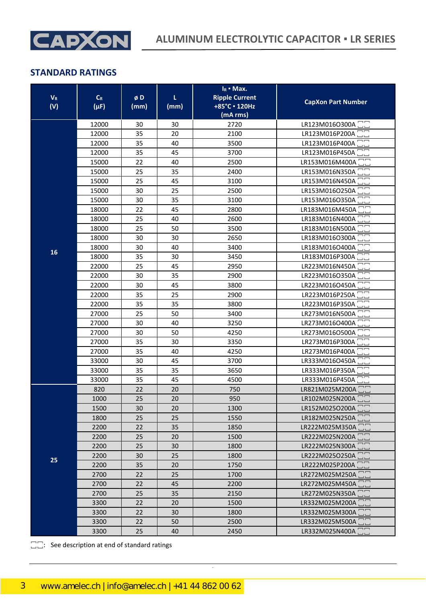

| $\mathbf{V}_\text{R}$<br>(V) | $C_R$<br>$(\mu F)$ | øD<br>(mm) | L<br>(mm) | $I_R$ • Max.<br><b>Ripple Current</b><br>+85°C · 120Hz<br>(mA rms) | <b>CapXon Part Number</b>       |
|------------------------------|--------------------|------------|-----------|--------------------------------------------------------------------|---------------------------------|
|                              | 12000              | 30         | 30        | 2720                                                               | LR123M016O300A ::               |
|                              | 12000              | 35         | 20        | 2100                                                               | LR123M016P200A                  |
|                              | 12000              | 35         | 40        | 3500                                                               | LR123M016P400A                  |
|                              | 12000              | 35         | 45        | 3700                                                               | LR123M016P450A                  |
|                              | 15000              | 22         | 40        | 2500                                                               | LR153M016M400A                  |
|                              | 15000              | 25         | 35        | 2400                                                               | LR153M016N350A                  |
|                              | 15000              | 25         | 45        | 3100                                                               | LR153M016N450A                  |
|                              | 15000              | 30         | 25        | 2500                                                               | LR153M016O250A                  |
|                              | 15000              | 30         | 35        | 3100                                                               | LR153M016O350A                  |
|                              | 18000              | 22         | 45        | 2800                                                               | LR183M016M450A                  |
|                              | 18000              | 25         | 40        | 2600                                                               | LR183M016N400A                  |
|                              | 18000              | 25         | 50        | 3500                                                               | LR183M016N500A                  |
|                              | 18000              | 30         | 30        | 2650                                                               | LR183M016O300A                  |
| 16                           | 18000              | 30         | 40        | 3400                                                               | LR183M016O400A                  |
|                              | 18000              | 35         | 30        | 3450                                                               | LR183M016P300A                  |
|                              | 22000              | 25         | 45        | 2950                                                               | LR223M016N450A                  |
|                              | 22000              | 30         | 35        | 2900                                                               | LR223M016O350A                  |
|                              | 22000              | 30         | 45        | 3800                                                               | LR223M016O450A                  |
|                              | 22000              | 35         | 25        | 2900                                                               | LR223M016P250A                  |
|                              | 22000              | 35         | 35        | 3800                                                               | LR223M016P350A                  |
|                              | 27000              | 25         | 50        | 3400                                                               | LR273M016N500A                  |
|                              | 27000              | 30         | 40        | 3250                                                               | LR273M016O400A                  |
|                              | 27000              | 30         | 50        | 4250                                                               | LR273M016O500A                  |
|                              | 27000              | 35         | 30        | 3350                                                               | LR273M016P300A                  |
|                              | 27000              | 35         | 40        | 4250                                                               | LR273M016P400A                  |
|                              | 33000              | 30         | 45        | 3700                                                               | LR333M016O450A                  |
|                              | 33000              | 35         | 35        | 3650                                                               | LR333M016P350A                  |
|                              | 33000              | 35         | 45        | 4500                                                               | LR333M016P450A                  |
|                              | 820                | 22         | 20        | 750                                                                | LR821M025M200A                  |
|                              | 1000               | 25         | 20        | 950                                                                | $\Box$ $\Box$<br>LR102M025N200A |
|                              | 1500               | 30         | 20        | 1300                                                               | LR152M025O200A                  |
|                              | 1800               | 25         | 25        | 1550                                                               | LR182M025N250A                  |
|                              | 2200               | 22         | 35        | 1850                                                               | LR222M025M350A                  |
|                              | 2200               | 25         | 20        | 1500                                                               | LR222M025N200A <sup>-</sup>     |
|                              | 2200               | 25         | 30        | 1800                                                               | LR222M025N300A <sup>-</sup>     |
| 25                           | 2200               | 30         | 25        | 1800                                                               | LR222M025O250A <sup>11</sup>    |
|                              | 2200               | 35         | 20        | 1750                                                               | LR222M025P200A <sup>-</sup>     |
|                              | 2700               | 22         | 25        | 1700                                                               | LR272M025M250A                  |
|                              | 2700               | 22         | 45        | 2200                                                               | LR272M025M450A <sup>-</sup>     |
|                              | 2700               | 25         | 35        | 2150                                                               | LR272M025N350A                  |
|                              | 3300               | 22         | 20        | 1500                                                               | LR332M025M200A                  |
|                              | 3300               | 22         | 30        | 1800                                                               | LR332M025M300A <sup>-</sup>     |
|                              | 3300               | 22         | 50        | 2500                                                               | LR332M025M500A <sup>1</sup>     |
|                              | 3300               | 25         | 40        | 2450                                                               | LR332M025N400A <sup>-</sup>     |

CapXon\_Ver. 002 – 08/18/2020 3 Document Number: LR series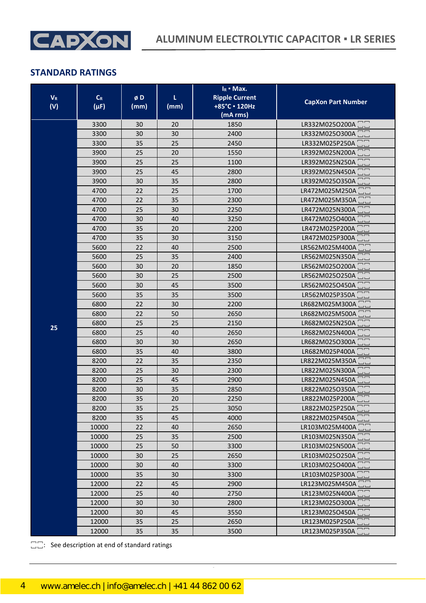

| <b>V</b> <sub>R</sub><br>(V) | $C_R$<br>$(\mu F)$ | øD<br>(mm) | τ<br>(mm) | $I_R$ • Max.<br><b>Ripple Current</b><br>+85°C · 120Hz<br>(mA rms) | <b>CapXon Part Number</b>                                |
|------------------------------|--------------------|------------|-----------|--------------------------------------------------------------------|----------------------------------------------------------|
|                              | 3300               | 30         | 20        | 1850                                                               | LR332M025O200A                                           |
|                              | 3300               | 30         | 30        | 2400                                                               | LR332M025O300A                                           |
|                              | 3300               | 35         | 25        | 2450                                                               | LR332M025P250A                                           |
|                              | 3900               | 25         | 20        | 1550                                                               | LR392M025N200A                                           |
|                              | 3900               | 25         | 25        | 1100                                                               | LR392M025N250A                                           |
|                              | 3900               | 25         | 45        | 2800                                                               | LR392M025N450A                                           |
|                              | 3900               | 30         | 35        | 2800                                                               | LR392M025O350A                                           |
|                              | 4700               | 22         | 25        | 1700                                                               | LR472M025M250A                                           |
|                              | 4700               | 22         | 35        | 2300                                                               | LR472M025M350A                                           |
|                              | 4700               | 25         | 30        | 2250                                                               | LR472M025N300A                                           |
|                              | 4700               | 30         | 40        | 3250                                                               | LR472M025O400A<br>$\Box$                                 |
|                              | 4700               | 35         | 20        | 2200                                                               | LR472M025P200A                                           |
|                              | 4700               | 35         | 30        | 3150                                                               | LR472M025P300A<br>LR562M025M400A                         |
|                              | 5600               | 22         | 40        | 2500                                                               |                                                          |
|                              | 5600<br>5600       | 25<br>30   | 35<br>20  | 2400<br>1850                                                       | LR562M025N350A<br>LR562M025O200A                         |
|                              | 5600               | 30         | 25        | 2500                                                               | LR562M025O250A                                           |
|                              | 5600               | 30         | 45        | 3500                                                               | LR562M025O450A                                           |
|                              | 5600               | 35         | 35        | 3500                                                               | $\overline{\phantom{m}}$<br>LR562M025P350A               |
|                              | 6800               | 22         | 30        | 2200                                                               | LR682M025M300A                                           |
|                              | 6800               | 22         | 50        | 2650                                                               | LR682M025M500A                                           |
|                              | 6800               | 25         | 25        | 2150                                                               | LR682M025N250A                                           |
| 25                           | 6800               | 25         | 40        | 2650                                                               | LR682M025N400A                                           |
|                              | 6800               | 30         | 30        | 2650                                                               | $\Box$ $\Box$<br>LR682M025O300A                          |
|                              | 6800               | 35         | 40        | 3800                                                               | LR682M025P400A                                           |
|                              | 8200               | 22         | 35        | 2350                                                               | LR822M025M350A                                           |
|                              | 8200               | 25         | 30        | 2300                                                               | LR822M025N300A                                           |
|                              | 8200               | 25         | 45        | 2900                                                               | LR822M025N450A                                           |
|                              | 8200               | 30         | 35        | 2850                                                               | $\Box$ $\Box$<br>LR822M025O350A                          |
|                              | 8200               | 35         | 20        | 2250                                                               | $\begin{bmatrix} 1 \\ 1 \end{bmatrix}$<br>LR822M025P200A |
|                              | 8200               | 35         | 25        | 3050                                                               | LR822M025P250A <sup>-</sup>                              |
|                              | 8200               | 35         | 45        | 4000                                                               | LR822M025P450A                                           |
|                              | 10000              | 22         | 40        | 2650                                                               | LR103M025M400A <sup>-</sup>                              |
|                              | 10000              | 25         | 35        | 2500                                                               | LR103M025N350A <sup>-</sup>                              |
|                              | 10000              | 25         | 50        | 3300                                                               | LR103M025N500A <sup>-</sup>                              |
|                              | 10000              | 30         | 25        | 2650                                                               | LR103M025O250A <sup>-</sup>                              |
|                              | 10000              | 30         | 40        | 3300                                                               | LR103M025O400A <sup>-</sup>                              |
|                              | 10000              | 35         | 30        | 3300                                                               | LR103M025P300A <sup>-</sup>                              |
|                              | 12000              | 22         | 45        | 2900                                                               | LR123M025M450A <sup>-</sup>                              |
|                              | 12000              | 25         | 40        | 2750                                                               | LR123M025N400A <sup>-</sup>                              |
|                              | 12000              | 30         | 30        | 2800                                                               | LR123M025O300A                                           |
|                              | 12000              | 30         | 45        | 3550                                                               | LR123M025O450A                                           |
|                              | 12000              | 35         | 25        | 2650                                                               | LR123M025P250A $\square$<br>LR123M025P350A $\square$     |
|                              | 12000              | 35         | 35        | 3500                                                               |                                                          |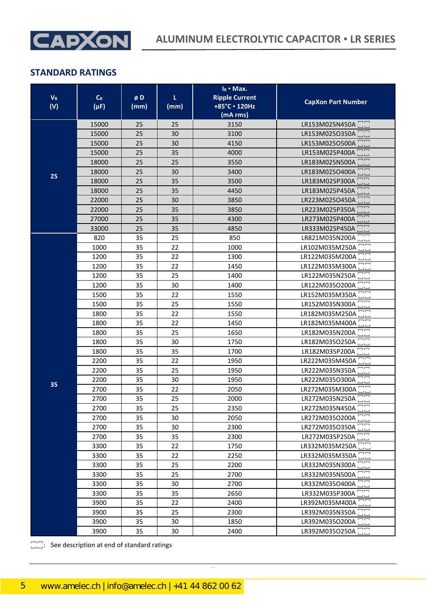

| $\mathbf{V}_\text{R}$<br>(V) | $C_R$<br>$(\mu F)$ | øD<br>(mm) | L<br>(mm) | $I_R$ • Max.<br><b>Ripple Current</b><br>+85°C · 120Hz<br>(mA rms) | <b>CapXon Part Number</b>                     |
|------------------------------|--------------------|------------|-----------|--------------------------------------------------------------------|-----------------------------------------------|
|                              | 15000              | 25         | 25        | 3150                                                               | LR153M025N450A                                |
|                              | 15000              | 25         | 30        | 3100                                                               | LR153M025O350A                                |
|                              | 15000              | 25         | 30        | 4150                                                               | LR153M025O500A                                |
|                              | 15000              | 25         | 35        | 4000                                                               | LR153M025P400A                                |
|                              | 18000              | 25         | 25        | 3550                                                               | $\neg$ $\neg$<br>LR183M025N500A               |
| 25                           | 18000              | 25         | 30        | 3400                                                               | LR183M025O400A                                |
|                              | 18000              | 25         | 35        | 3500                                                               | LR183M025P300A                                |
|                              | 18000              | 25         | 35        | 4450                                                               | LR183M025P450A                                |
|                              | 22000              | 25         | 30        | 3850                                                               | LR223M025O450A                                |
|                              | 22000              | 25         | 35        | 3850                                                               | ––<br>LR223M025P350A                          |
|                              | 27000              | 25         | 35        | 4300                                                               | LR273M025P400A                                |
|                              | 33000              | 25         | 35        | 4850                                                               | LR333M025P450A                                |
|                              | 820                | 35         | 25        | 850                                                                | LR821M035N200A                                |
|                              | 1000               | 35         | 22        | 1000                                                               | LR102M035M250A                                |
|                              | 1200               | 35         | 22        | 1300                                                               | LR122M035M200A                                |
|                              | 1200               | 35         | 22        | 1450                                                               | LR122M035M300A                                |
|                              | 1200               | 35         | 25        | 1400                                                               | LR122M035N250A                                |
|                              | 1200               | 35         | 30        | 1400                                                               | LR122M035O200A                                |
|                              | 1500               | 35         | 22        | 1550                                                               | LR152M035M350A                                |
|                              | 1500               | 35         | 25        | 1550                                                               | LR152M035N300A                                |
|                              | 1800               | 35         | 22        | 1550                                                               | LR182M035M250A                                |
|                              | 1800               | 35         | 22        | 1450                                                               | LR182M035M400A                                |
|                              | 1800               | 35         | 25        | 1650                                                               | LR182M035N200A                                |
|                              | 1800               | 35         | 30        | 1750                                                               | LR182M035O250A                                |
|                              | 1800               | 35         | 35        | 1700                                                               | LR182M035P200A                                |
|                              | 2200               | 35         | 22        | 1950                                                               | LR222M035M450A                                |
|                              | 2200               | 35         | 25        | 1950                                                               | LR222M035N350A                                |
| 35                           | 2200               | 35         | 30        | 1950                                                               | LR222M035O300A                                |
|                              | 2700               | 35         | 22        | 2050                                                               | LR272M035M300A <sup>-</sup>                   |
|                              | 2700               | 35         | 25        | 2000                                                               | LR272M035N250A <sup>-</sup>                   |
|                              | 2700               | 35         | 25        | 2350                                                               | LR272M035N450A                                |
|                              | 2700               | 35         | 30        | 2050                                                               | LR272M035O200A                                |
|                              | 2700               | 35         | 30        | 2300                                                               | LR272M035O350A                                |
|                              | 2700               | 35         | 35        | 2300                                                               | LR272M035P250A<br>LR332M035M250A              |
|                              | 3300               | 35         | 22        | 1750                                                               |                                               |
|                              | 3300               | 35         | 22        | 2250                                                               | LR332M035M350A                                |
|                              | 3300               | 35         | 25<br>25  | 2200                                                               | LR332M035N300A <sup>1</sup><br>LR332M035N500A |
|                              | 3300<br>3300       | 35<br>35   | 30        | 2700<br>2700                                                       | LR332M035O400A <sup>1</sup>                   |
|                              | 3300               |            | 35        | 2650                                                               | LR332M035P300A                                |
|                              |                    | 35         |           |                                                                    |                                               |
|                              | 3900               | 35         | 22        | 2400                                                               | LR392M035M400A<br>LR392M035N350A              |
|                              | 3900               | 35         | 25        | 2300                                                               | LR392M035O200A <sup>-</sup>                   |
|                              | 3900               | 35         | 30        | 1850                                                               | $\overline{\phantom{1}}$                      |
|                              | 3900               | 35         | 30        | 2400                                                               | LR392M035O250A                                |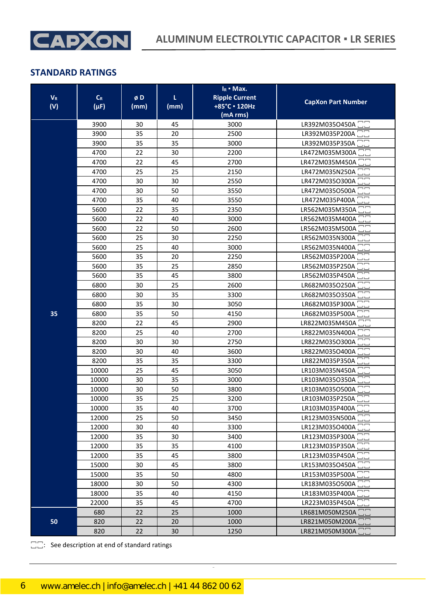

| $V_{R}$<br>(V) | $C_R$<br>$(\mu F)$ | øD<br>(mm) | τ<br>(mm) | $I_R$ • Max.<br><b>Ripple Current</b><br>+85°C · 120Hz<br>(mA rms) | <b>CapXon Part Number</b>                               |
|----------------|--------------------|------------|-----------|--------------------------------------------------------------------|---------------------------------------------------------|
|                | 3900               | 30         | 45        | 3000                                                               | LR392M035O450A <sup>1</sup>                             |
|                | 3900               | 35         | 20        | 2500                                                               | LR392M035P200A <sup>-</sup>                             |
|                | 3900               | 35         | 35        | 3000                                                               | LR392M035P350A                                          |
|                | 4700               | 22         | 30        | 2200                                                               | LR472M035M300A                                          |
|                | 4700               | 22         | 45        | 2700                                                               | LR472M035M450A                                          |
|                | 4700               | 25         | 25        | 2150                                                               | LR472M035N250A                                          |
|                | 4700               | 30         | 30        | 2550                                                               | LR472M035O300A                                          |
|                | 4700               | 30         | 50        | 3550                                                               | LR472M035O500A                                          |
|                | 4700               | 35         | 40        | 3550                                                               | LR472M035P400A                                          |
|                | 5600               | 22         | 35        | 2350                                                               | LR562M035M350A                                          |
|                | 5600               | 22         | 40        | 3000                                                               | LR562M035M400A                                          |
|                | 5600               | 22         | 50        | 2600                                                               | LR562M035M500A                                          |
|                | 5600               | 25         | 30        | 2250                                                               | LR562M035N300A                                          |
|                | 5600               | 25         | 40        | 3000                                                               | LR562M035N400A                                          |
|                | 5600               | 35         | 20        | 2250                                                               | LR562M035P200A                                          |
|                | 5600               | 35         | 25        | 2850                                                               | LR562M035P250A                                          |
|                | 5600               | 35         | 45        | 3800                                                               | LR562M035P450A                                          |
|                | 6800               | 30         | 25        | 2600                                                               | LR682M035O250A                                          |
|                | 6800               | 30         | 35        | 3300                                                               | LR682M035O350A                                          |
|                | 6800               | 35         | 30        | 3050                                                               | LR682M035P300A                                          |
| 35             | 6800               | 35         | 50        | 4150                                                               | LR682M035P500A                                          |
|                | 8200               | 22         | 45        | 2900                                                               | LR822M035M450A                                          |
|                | 8200               | 25         | 40        | 2700                                                               | LR822M035N400A                                          |
|                | 8200               | 30         | 30        | 2750                                                               | LR822M035O300A                                          |
|                | 8200               | 30         | 40        | 3600                                                               | LR822M035O400A                                          |
|                | 8200               | 35         | 35        | 3300                                                               | LR822M035P350A                                          |
|                | 10000              | 25         | 45        | 3050                                                               | LR103M035N450A                                          |
|                | 10000              | 30         | 35        | 3000                                                               | LR103M035O350A                                          |
|                | 10000              | 30         | 50        | 3800                                                               | LR103M035O500A                                          |
|                | 10000              | 35         | 25        | 3200                                                               | LR103M035P250A <sup>1</sup>                             |
|                | 10000              | 35         | 40        | 3700                                                               | LR103M035P400A                                          |
|                | 12000              | 25         | 50        | 3450                                                               | LR123M035N500A                                          |
|                | 12000              | 30         | 40        | 3300                                                               | LR123M035O400A <sup>-</sup><br>$\overline{\phantom{1}}$ |
|                | 12000              | 35         | 30        | 3400                                                               | LR123M035P300A <sup>-</sup>                             |
|                | 12000              | 35         | 35        | 4100                                                               | LR123M035P350A <sup>1</sup>                             |
|                | 12000              | 35         | 45        | 3800                                                               | LR123M035P450A 22                                       |
|                | 15000              | 30         | 45        | 3800                                                               | LR153M035O450A <sup>1</sup>                             |
|                | 15000              | 35         | 50        | 4800                                                               | LR153M035P500A                                          |
|                | 18000              | 30         | 50        | 4300                                                               | LR183M035O500A □□                                       |
|                | 18000              | 35         | 40        | 4150                                                               | LR183M035P400A <sup>1</sup>                             |
|                | 22000              | 35         | 45        | 4700                                                               | LR223M035P450A                                          |
|                | 680                | 22         | 25        | 1000                                                               | LR681M050M250A <sup>1</sup>                             |
| 50             | 820                | 22         | 20        | 1000                                                               | LR821M050M200A <sup>-</sup>                             |
|                | 820                | 22         | 30        | 1250                                                               | LR821M050M300A <sup>-</sup>                             |

CapXon\_Ver. 002 – 08/18/2020 6 Document Number: LR series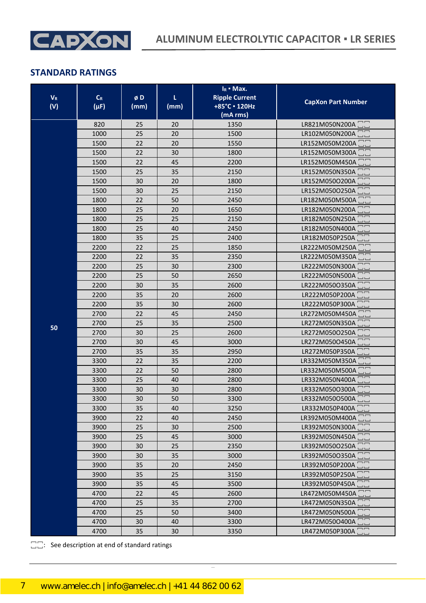

| $V_R$<br>(V) | $C_R$<br>$(\mu F)$ | øD<br>(mm) | L<br>(mm) | $I_R$ • Max.<br><b>Ripple Current</b><br>+85°C · 120Hz<br>(mA rms) | <b>CapXon Part Number</b>                  |
|--------------|--------------------|------------|-----------|--------------------------------------------------------------------|--------------------------------------------|
|              | 820                | 25         | 20        | 1350                                                               | LR821M050N200A                             |
|              | 1000               | 25         | 20        | 1500                                                               | LR102M050N200A                             |
|              | 1500               | 22         | 20        | 1550                                                               | LR152M050M200A                             |
|              | 1500               | 22         | 30        | 1800                                                               | LR152M050M300A                             |
|              | 1500               | 22         | 45        | 2200                                                               | LR152M050M450A                             |
|              | 1500               | 25         | 35        | 2150                                                               | LR152M050N350A                             |
|              | 1500               | 30         | 20        | 1800                                                               | LR152M050O200A                             |
|              | 1500               | 30         | 25        | 2150                                                               | LR152M050O250A                             |
|              | 1800               | 22         | 50        | 2450                                                               | LR182M050M500A                             |
|              | 1800               | 25         | 20        | 1650                                                               | LR182M050N200A                             |
|              | 1800               | 25         | 25        | 2150                                                               | LR182M050N250A<br>mП                       |
|              | 1800               | 25         | 40        | 2450                                                               | LR182M050N400A                             |
|              | 1800               | 35         | 25        | 2400                                                               | LR182M050P250A                             |
|              | 2200               | 22         | 25        | 1850                                                               | LR222M050M250A                             |
|              | 2200<br>2200       | 22<br>25   | 35<br>30  | 2350<br>2300                                                       | LR222M050M350A<br>LR222M050N300A           |
|              | 2200               | 25         | 50        | 2650                                                               | LR222M050N500A                             |
|              | 2200               | 30         | 35        | 2600                                                               | LR222M050O350A                             |
|              | 2200               | 35         | 20        | 2600                                                               | $\overline{\phantom{m}}$<br>LR222M050P200A |
|              | 2200               | 35         | 30        | 2600                                                               | LR222M050P300A                             |
|              | 2700               | 22         | 45        | 2450                                                               | LR272M050M450A                             |
|              | 2700               | 25         | 35        | 2500                                                               | LR272M050N350A                             |
| 50           | 2700               | 30         | 25        | 2600                                                               | LR272M050O250A                             |
|              | 2700               | 30         | 45        | 3000                                                               | $\Box$ $\Box$<br>LR272M050O450A            |
|              | 2700               | 35         | 35        | 2950                                                               | LR272M050P350A                             |
|              | 3300               | 22         | 35        | 2200                                                               | LR332M050M350A                             |
|              | 3300               | 22         | 50        | 2800                                                               | LR332M050M500A                             |
|              | 3300               | 25         | 40        | 2800                                                               | LR332M050N400A                             |
|              | 3300               | 30         | 30        | 2800                                                               | LR332M050O300A                             |
|              | 3300               | 30         | 50        | 3300                                                               | $\Box$ $\Box$<br>LR332M050O500A            |
|              | 3300               | 35         | 40        | 3250                                                               | LR332M050P400A <sup>1</sup>                |
|              | 3900               | 22         | 40        | 2450                                                               | LR392M050M400A □□                          |
|              | 3900               | 25         | 30        | 2500                                                               | LR392M050N300A                             |
|              | 3900               | 25         | 45        | 3000                                                               | LR392M050N450A <sup>-</sup>                |
|              | 3900               | 30         | 25        | 2350                                                               | LR392M050O250A <sup>-</sup>                |
|              | 3900               | 30         | 35        | 3000                                                               | $\overline{\phantom{a}}$<br>LR392M050O350A |
|              | 3900               | 35         | 20        | 2450                                                               | LR392M050P200A <sup>-</sup>                |
|              | 3900               | 35         | 25        | 3150                                                               | LR392M050P250A <sup>-</sup>                |
|              | 3900               | 35         | 45        | 3500                                                               | LR392M050P450A <sup>-</sup>                |
|              | 4700               | 22         | 45        | 2600                                                               | LR472M050M450A                             |
|              | 4700               | 25         | 35        | 2700                                                               | LR472M050N350A                             |
|              | 4700               | 25         | 50        | 3400                                                               | LR472M050N500A                             |
|              | 4700               | 30         | 40        | 3300                                                               | LR472M050O400A <sup>-</sup>                |
|              | 4700               | 35         | 30        | 3350                                                               | LR472M050P300A <sup>-</sup>                |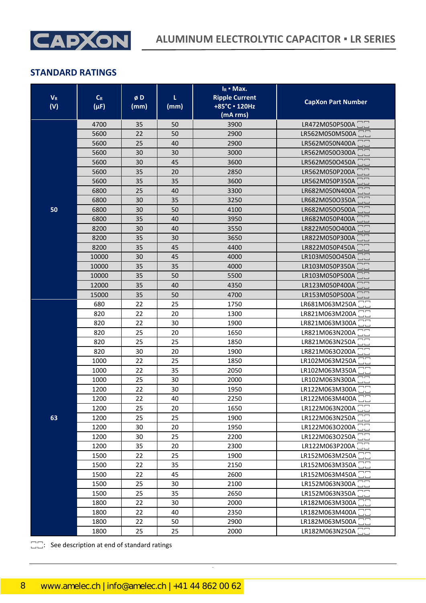

| $V_{R}$<br>(V) | $C_R$<br>$(\mu F)$ | øD<br>(mm) | L<br>(mm) | $I_R$ • Max.<br><b>Ripple Current</b><br>+85°C · 120Hz<br>(mA rms) | <b>CapXon Part Number</b>                                    |
|----------------|--------------------|------------|-----------|--------------------------------------------------------------------|--------------------------------------------------------------|
|                | 4700               | 35         | 50        | 3900                                                               | LR472M050P500A                                               |
|                | 5600               | 22         | 50        | 2900                                                               | LR562M050M500A                                               |
|                | 5600               | 25         | 40        | 2900                                                               | LR562M050N400A                                               |
|                | 5600               | 30         | 30        | 3000                                                               | LR562M050O300A                                               |
|                | 5600               | 30         | 45        | 3600                                                               | LR562M050O450A □□                                            |
|                | 5600               | 35         | 20        | 2850                                                               | LR562M050P200A                                               |
|                | 5600               | 35         | 35        | 3600                                                               | LR562M050P350A                                               |
|                | 6800               | 25         | 40        | 3300                                                               | LR682M050N400A                                               |
|                | 6800               | 30         | 35        | 3250                                                               | LR682M050O350A                                               |
| 50             | 6800               | 30         | 50        | 4100                                                               | LR682M050O500A                                               |
|                | 6800               | 35         | 40        | 3950                                                               | LR682M050P400A                                               |
|                | 8200               | 30         | 40        | 3550                                                               | LR822M050O400A<br>EI<br>L                                    |
|                | 8200<br>8200       | 35<br>35   | 30<br>45  | 3650<br>4400                                                       | LR822M050P300A<br>$\overline{\phantom{a}}$<br>LR822M050P450A |
|                | 10000              |            | 45        | 4000                                                               | LR103M050O450A                                               |
|                | 10000              | 30<br>35   | 35        | 4000                                                               | mm<br>UU<br>LR103M050P350A                                   |
|                | 10000              | 35         | 50        | 5500                                                               | LR103M050P500A                                               |
|                | 12000              | 35         | 40        | 4350                                                               | LR123M050P400A                                               |
|                | 15000              | 35         | 50        | 4700                                                               | LR153M050P500A                                               |
|                | 680                | 22         | 25        | 1750                                                               | LR681M063M250A                                               |
|                | 820                | 22         | 20        | 1300                                                               | ¬¬<br>LR821M063M200A                                         |
|                | 820                | 22         | 30        | 1900                                                               | LR821M063M300A                                               |
|                | 820                | 25         | 20        | 1650                                                               | LR821M063N200A                                               |
|                | 820                | 25         | 25        | 1850                                                               | LR821M063N250A                                               |
|                | 820                | 30         | 20        | 1900                                                               | LR821M063O200A                                               |
|                | 1000               | 22         | 25        | 1850                                                               | LR102M063M250A                                               |
|                | 1000               | 22         | 35        | 2050                                                               | LR102M063M350A                                               |
|                | 1000               | 25         | 30        | 2000                                                               | LR102M063N300A                                               |
|                | 1200               | 22         | 30        | 1950                                                               | LR122M063M300A                                               |
|                | 1200               | 22         | 40        | 2250                                                               | LR122M063M400A<br>$\Box$                                     |
|                | 1200               | 25         | 20        | 1650                                                               | LR122M063N200A                                               |
| 63             | 1200               | 25         | 25        | 1900                                                               | LR122M063N250A                                               |
|                | 1200               | 30         | 20        | 1950                                                               | LR122M063O200A                                               |
|                | 1200               | 30         | 25        | 2200                                                               | LR122M063O250A <sup>-</sup>                                  |
|                | 1200               | 35         | 20        | 2300                                                               | LR122M063P200A <sup>1</sup>                                  |
|                | 1500               | 22         | 25        | 1900                                                               | LR152M063M250A                                               |
|                | 1500               | 22         | 35        | 2150                                                               | LR152M063M350A                                               |
|                | 1500               | 22         | 45        | 2600                                                               | LR152M063M450A                                               |
|                | 1500               | 25         | 30        | 2100                                                               | LR152M063N300A                                               |
|                | 1500               | 25         | 35        | 2650                                                               | LR152M063N350A □□                                            |
|                | 1800               | 22         | 30        | 2000                                                               | LR182M063M300A                                               |
|                | 1800               | 22         | 40        | 2350                                                               | LR182M063M400A                                               |
|                | 1800               | 22         | 50        | 2900                                                               | LR182M063M500A                                               |
|                | 1800               | 25         | 25        | 2000                                                               | LR182M063N250A <sup>-</sup>                                  |

CapXon\_Ver. 002 – 08/18/2020 8 Document Number: LR series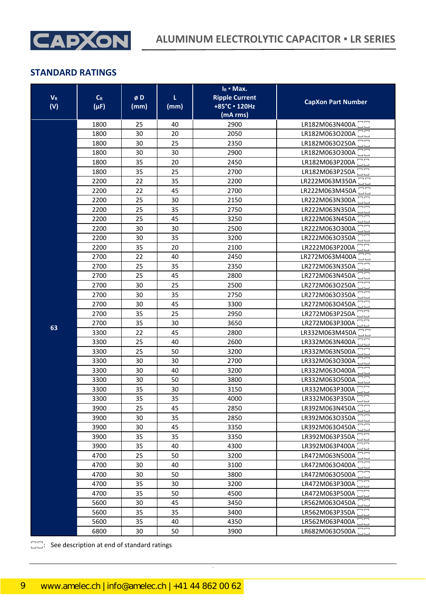

| $V_R$<br>(V) | $C_R$<br>$(\mu F)$ | øD<br>(mm) | τ<br>(mm) | $I_R$ • Max.<br><b>Ripple Current</b><br>+85°C · 120Hz<br>(mA rms) | <b>CapXon Part Number</b>                  |
|--------------|--------------------|------------|-----------|--------------------------------------------------------------------|--------------------------------------------|
|              | 1800               | 25         | 40        | 2900                                                               | LR182M063N400A <sup>-</sup>                |
|              | 1800               | 30         | 20        | 2050                                                               | LR182M063O200A                             |
|              | 1800               | 30         | 25        | 2350                                                               | LR182M063O250A                             |
|              | 1800               | 30         | 30        | 2900                                                               | LR182M063O300A                             |
|              | 1800               | 35         | 20        | 2450                                                               | LR182M063P200A                             |
|              | 1800               | 35         | 25        | 2700                                                               | LR182M063P250A                             |
|              | 2200               | 22         | 35        | 2200                                                               | LR222M063M350A                             |
|              | 2200               | 22         | 45        | 2700                                                               | LR222M063M450A                             |
|              | 2200               | 25         | 30        | 2150                                                               | LR222M063N300A                             |
|              | 2200               | 25         | 35        | 2750                                                               | LR222M063N350A                             |
|              | 2200               | 25         | 45        | 3250                                                               | LR222M063N450A                             |
|              | 2200               | 30         | 30        | 2500                                                               | LR222M063O300A <sup>-</sup>                |
|              | 2200               | 30         | 35        | 3200                                                               | LR222M063O350A                             |
|              | 2200               | 35         | 20        | 2100                                                               | LR222M063P200A                             |
|              | 2700               | 22         | 40        | 2450                                                               | LR272M063M400A                             |
|              | 2700               | 25         | 35        | 2350                                                               | LR272M063N350A                             |
|              | 2700               | 25         | 45        | 2800                                                               | LR272M063N450A                             |
|              | 2700               | 30         | 25        | 2500                                                               | LR272M063O250A                             |
|              | 2700               | 30         | 35        | 2750                                                               | LR272M063O350A                             |
|              | 2700               | 30         | 45        | 3300                                                               | LR272M063O450A                             |
|              | 2700               | 35         | 25        | 2950                                                               | LR272M063P250A                             |
| 63           | 2700               | 35         | 30        | 3650                                                               | LR272M063P300A                             |
|              | 3300               | 22         | 45        | 2800                                                               | LR332M063M450A                             |
|              | 3300               | 25         | 40        | 2600                                                               | LR332M063N400A                             |
|              | 3300               | 25         | 50        | 3200                                                               | LR332M063N500A                             |
|              | 3300               | 30         | 30        | 2700                                                               | LR332M063O300A                             |
|              | 3300               | 30         | 40        | 3200                                                               | LR332M063O400A                             |
|              | 3300               | 30         | 50        | 3800                                                               | LR332M063O500A                             |
|              | 3300               | 35         | 30        | 3150                                                               | LR332M063P300A □□                          |
|              | 3300               | 35         | 35        | 4000                                                               | LR332M063P350A <sup>1</sup>                |
|              | 3900               | 25         | 45        | 2850                                                               | LR392M063N450A $\Box$                      |
|              | 3900               | 30         | 35        | 2850                                                               | LR392M063O350A                             |
|              | 3900               | 30         | 45        | 3350                                                               | LR392M063O450A <sup>-</sup>                |
|              | 3900               | 35         | 35        | 3350                                                               | LR392M063P350A <sup>-</sup>                |
|              | 3900               | 35         | 40        | 4300                                                               | LR392M063P400A                             |
|              | 4700               | 25         | 50        | 3200                                                               | LR472M063N500A                             |
|              | 4700               | 30         | 40        | 3100                                                               | LR472M063O400A <sup>1</sup>                |
|              | 4700               | 30         | 50        | 3800                                                               | LR472M063O500A                             |
|              | 4700               | 35         | 30        | 3200                                                               | LR472M063P300A <sup>-</sup>                |
|              | 4700               | 35         | 50        | 4500                                                               | LR472M063P500A                             |
|              | 5600               | 30         | 45        | 3450                                                               | LR562M063O450A                             |
|              | 5600               | 35         | 35        | 3400                                                               | LR562M063P350A <sup>-</sup>                |
|              | 5600               | 35         | 40        | 4350                                                               | LR562M063P400A<br>$\overline{\phantom{a}}$ |
|              | 6800               | 30         | 50        | 3900                                                               | LR682M063O500A <sup>-</sup>                |

CapXon\_Ver. 002 – 08/18/2020 9 Document Number: LR series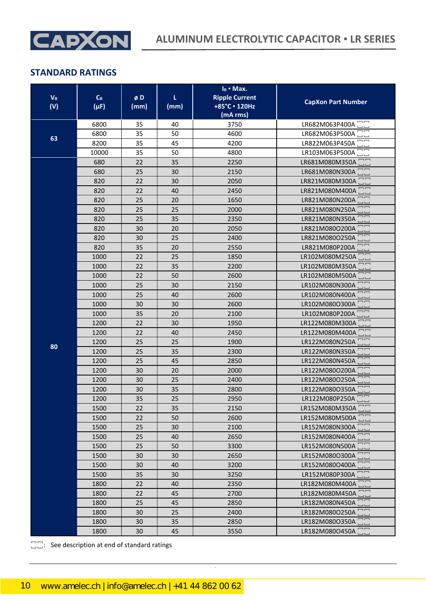

| $\mathbf{V}_\text{R}$<br>(V) | $C_R$<br>$(\mu F)$ | øD<br>(mm) | τ<br>(mm) | $I_R$ • Max.<br><b>Ripple Current</b><br>+85°C · 120Hz<br>(mA rms) | <b>CapXon Part Number</b>                           |
|------------------------------|--------------------|------------|-----------|--------------------------------------------------------------------|-----------------------------------------------------|
|                              | 6800               | 35         | 40        | 3750                                                               | LR682M063P400A                                      |
|                              | 6800               | 35         | 50        | 4600                                                               | LR682M063P500A                                      |
| 63                           | 8200               | 35         | 45        | 4200                                                               | LR822M063P450A                                      |
|                              | 10000              | 35         | 50        | 4800                                                               | LR103M063P500A                                      |
|                              | 680                | 22         | 35        | 2250                                                               | LR681M080M350A                                      |
|                              | 680                | 25         | 30        | 2150                                                               | LR681M080N300A                                      |
|                              | 820                | 22         | 30        | 2050                                                               | LR821M080M300A                                      |
|                              | 820                | 22         | 40        | 2450                                                               | LR821M080M400A                                      |
|                              | 820                | 25         | 20        | 1650                                                               | LR821M080N200A                                      |
|                              | 820                | 25         | 25        | 2000                                                               | LR821M080N250A                                      |
|                              | 820                | 25         | 35        | 2350                                                               | LR821M080N350A                                      |
|                              | 820                | 30         | 20        | 2050                                                               | LR821M080O200A <sup>1</sup>                         |
|                              | 820                | 30         | 25        | 2400                                                               | LR821M080O250A                                      |
|                              | 820                | 35         | 20        | 2550                                                               | $\Box$ $\Box$<br>LR821M080P200A                     |
|                              | 1000               | 22         | 25        | 1850                                                               | LR102M080M250A                                      |
|                              | 1000               | 22         | 35        | 2200                                                               | LR102M080M350A                                      |
|                              | 1000               | 22         | 50        | 2600                                                               | LR102M080M500A                                      |
|                              | 1000               | 25         | 30        | 2150                                                               | LR102M080N300A                                      |
|                              | 1000               | 25         | 40        | 2600                                                               | LR102M080N400A                                      |
|                              | 1000               | 30         | 30        | 2600                                                               | LR102M080O300A                                      |
|                              | 1000               | 35         | 20        | 2100                                                               | LR102M080P200A                                      |
|                              | 1200               | 22         | 30        | 1950                                                               | LR122M080M300A                                      |
|                              | 1200               | 22         | 40        | 2450                                                               | LR122M080M400A                                      |
| 80                           | 1200               | 25         | 25        | 1900                                                               | LR122M080N250A                                      |
|                              | 1200               | 25         | 35        | 2300                                                               | LR122M080N350A                                      |
|                              | 1200               | 25         | 45        | 2850                                                               | LR122M080N450A                                      |
|                              | 1200<br>1200       | 30<br>30   | 20<br>25  | 2000<br>2400                                                       | LR122M080O200A<br>LR122M080O250A                    |
|                              | 1200               | 30         | 35        | 2800                                                               | LR122M080O350A                                      |
|                              | 1200               | 35         | 25        | 2950                                                               | LR122M080P250A                                      |
|                              | 1500               | 22         | 35        | 2150                                                               | LR152M080M350A <sup>1</sup>                         |
|                              | 1500               | 22         | 50        | 2600                                                               | LR152M080M500A                                      |
|                              | 1500               | 25         | 30        | 2100                                                               | LR152M080N300A <sup>-</sup>                         |
|                              | 1500               | 25         | 40        | 2650                                                               | $\overline{\square}$<br>LR152M080N400A <sup>1</sup> |
|                              | 1500               | 25         | 50        | 3300                                                               | LR152M080N500A <sup>1</sup>                         |
|                              | 1500               | 30         | 30        | 2650                                                               | LR152M080O300A                                      |
|                              | 1500               | 30         | 40        | 3200                                                               | LR152M080O400A <sup>-</sup>                         |
|                              | 1500               | 35         | 30        | 3250                                                               | LR152M080P300A <sup>-</sup>                         |
|                              | 1800               | 22         | 40        | 2350                                                               | LR182M080M400A                                      |
|                              | 1800               | 22         | 45        | 2700                                                               | LR182M080M450A                                      |
|                              | 1800               | 25         | 45        | 2850                                                               | LR182M080N450A                                      |
|                              | 1800               | 30         | 25        | 2400                                                               | LR182M080O250A                                      |
|                              | 1800               | 30         | 35        | 2850                                                               | LR182M080O350A                                      |
|                              | 1800               | 30         | 45        | 3550                                                               | $\overline{\Box}$<br>LR182M080O450A                 |

CapXon\_Ver. 002 – 08/18/2020 10 Document Number: LR series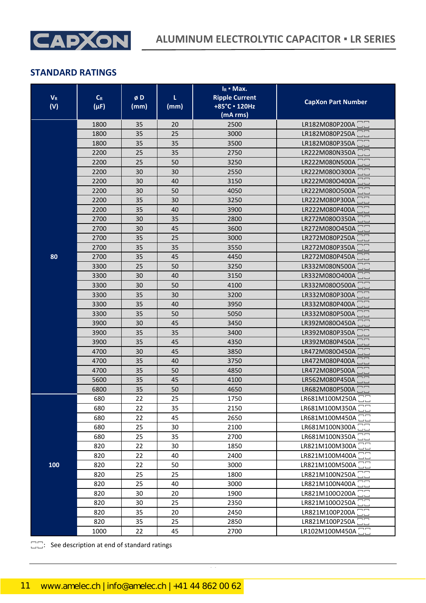

| $\mathbf{V}_\text{R}$<br>(V) | $C_R$<br>$(\mu F)$ | øD<br>(mm) | τ<br>(mm) | $I_R$ • Max.<br><b>Ripple Current</b><br>+85°C · 120Hz<br>(mA rms) | <b>CapXon Part Number</b>                                           |
|------------------------------|--------------------|------------|-----------|--------------------------------------------------------------------|---------------------------------------------------------------------|
|                              | 1800               | 35         | 20        | 2500                                                               | LR182M080P200A                                                      |
|                              | 1800               | 35         | 25        | 3000                                                               | LR182M080P250A                                                      |
|                              | 1800               | 35         | 35        | 3500                                                               | LR182M080P350A                                                      |
|                              | 2200               | 25         | 35        | 2750                                                               | LR222M080N350A                                                      |
|                              | 2200               | 25         | 50        | 3250                                                               | LR222M080N500A                                                      |
|                              | 2200               | 30         | 30        | 2550                                                               | LR222M080O300A                                                      |
|                              | 2200               | 30         | 40        | 3150                                                               | LR222M080O400A                                                      |
|                              | 2200               | 30         | 50        | 4050                                                               | LR222M080O500A                                                      |
|                              | 2200               | 35         | 30        | 3250                                                               | LR222M080P300A                                                      |
|                              | 2200               | 35         | 40        | 3900                                                               | LR222M080P400A                                                      |
|                              | 2700               | 30         | 35        | 2800                                                               | nn<br>Lu<br>LR272M080O350A                                          |
|                              | 2700               | 30         | 45        | 3600                                                               | LR272M080O450A                                                      |
|                              | 2700               | 35         | 25        | 3000                                                               | LR272M080P250A                                                      |
|                              | 2700               | 35         | 35        | 3550                                                               | LR272M080P350A                                                      |
| 80                           | 2700               | 35         | 45        | 4450                                                               | LR272M080P450A                                                      |
|                              | 3300               | 25         | 50        | 3250                                                               | LR332M080N500A                                                      |
|                              | 3300               | 30         | 40        | 3150                                                               | LR332M080O400A                                                      |
|                              | 3300               | 30         | 50        | 4100                                                               | LR332M080O500A                                                      |
|                              | 3300               | 35         | 30        | 3200                                                               | $\overline{\phantom{1}}$<br>LR332M080P300A                          |
|                              | 3300               | 35         | 40        | 3950                                                               | $\overline{\phantom{0}}$<br>LR332M080P400A                          |
|                              | 3300               | 35         | 50        | 5050                                                               | $\overline{\phantom{a}}$<br>LR332M080P500A                          |
|                              | 3900               | 30         | 45        | 3450                                                               | $\Box$ $\Box$<br>LR392M080O450A                                     |
|                              | 3900               | 35         | 35        | 3400                                                               | LR392M080P350A                                                      |
|                              | 3900               | 35         | 45        | 4350                                                               | $\overline{\phantom{1}}$<br>LR392M080P450A                          |
|                              | 4700               | 30         | 45        | 3850                                                               | $\begin{array}{c} \square \\ \square \end{array}$<br>LR472M080O450A |
|                              | 4700               | 35         | 40        | 3750                                                               | LR472M080P400A                                                      |
|                              | 4700               | 35         | 50        | 4850                                                               | $\overline{\phantom{a}}$<br>LR472M080P500A                          |
|                              | 5600               | 35         | 45        | 4100                                                               | LR562M080P450A                                                      |
|                              | 6800               | 35         | 50        | 4650                                                               | $\overline{\phantom{m}}$<br>LR682M080P500A                          |
|                              | 680                | 22         | 25        | 1750                                                               | LR681M100M250A                                                      |
|                              | 680                | 22         | 35        | 2150                                                               | LR681M100M350A                                                      |
|                              | 680                | 22         | 45        | 2650                                                               | LR681M100M450A                                                      |
|                              | 680                | 25         | 30        | 2100                                                               | LR681M100N300A                                                      |
|                              | 680                | 25         | 35        | 2700                                                               | LR681M100N350A <sup>-</sup>                                         |
|                              | 820                | 22         | 30        | 1850                                                               | LR821M100M300A <sup>-</sup>                                         |
|                              | 820                | 22         | 40        | 2400                                                               | LR821M100M400A                                                      |
| 100                          | 820                | 22         | 50        | 3000                                                               | LR821M100M500A                                                      |
|                              | 820                | 25         | 25        | 1800                                                               | LR821M100N250A                                                      |
|                              | 820                | 25         | 40        | 3000                                                               | LR821M100N400A <sup>-</sup>                                         |
|                              | 820                | 30         | 20        | 1900                                                               | LR821M100O200A <sup>-</sup>                                         |
|                              | 820                | 30         | 25        | 2350                                                               | LR821M100O250A                                                      |
|                              | 820                | 35         | 20        | 2450                                                               | LR821M100P200A <sup>-</sup>                                         |
|                              | 820                | 35         | 25        | 2850                                                               | LR821M100P250A <sup>-</sup>                                         |
|                              | 1000               | 22         | 45        | 2700                                                               | LR102M100M450A <sup>-</sup>                                         |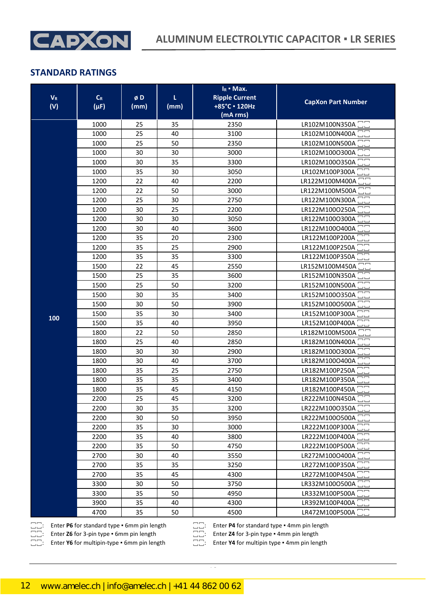

| LR102M100N350A<br>1000<br>35<br>2350<br>25<br>LR102M100N400A<br>1000<br>25<br>40<br>3100<br>LR102M100N500A<br>1000<br>25<br>50<br>2350<br>LR102M100O300A <sup>-</sup><br>30<br>1000<br>30<br>3000<br>35<br>1000<br>30<br>3300<br>LR102M100O350A<br>35<br>30<br>3050<br>LR102M100P300A<br>1000<br>22<br>LR122M100M400A<br>1200<br>40<br>2200<br>1200<br>22<br>50<br>3000<br>LR122M100M500A <sup>[1</sup> ]<br>1200<br>25<br>30<br>2750<br>LR122M100N300A<br>25<br>1200<br>30<br>2200<br>LR122M100O250A<br>LR122M100O300A CC<br>1200<br>30<br>3050<br>30<br>LR122M100O400A<br>1200<br>3600<br>30<br>40<br>1200<br>35<br>20<br>2300<br>LR122M100P200A<br>1200<br>25<br>35<br>2900<br>LR122M100P250A<br>1200<br>35<br>35<br>3300<br>LR122M100P350A<br>1500<br>45<br>22<br>2550<br>LR152M100M450A<br>LR152M100N350A<br>25<br>35<br>1500<br>3600<br>25<br>LR152M100N500A<br>1500<br>50<br>3200<br>1500<br>30<br>35<br>3400<br>LR152M100O350A<br>LR152M100O500A<br>1500<br>30<br>50<br>3900<br>1500<br>LR152M100P300A<br>35<br>30<br>3400<br>100<br>1500<br>LR152M100P400A<br>35<br>40<br>3950<br>1800<br>22<br>50<br>2850<br>LR182M100M500A<br>1800<br>25<br>40<br>2850<br>LR182M100N400A<br>1800<br>30<br>30<br>2900<br>LR182M100O300A<br>LR182M100O400A<br>1800<br>30<br>40<br>3700<br>25<br>LR182M100P250A<br>1800<br>35<br>2750<br>35<br>35<br>LR182M100P350A<br>1800<br>3400<br>LR182M100P450A<br>1800<br>35<br>45<br>4150 | $V_R$<br>(V) | $C_R$<br>$(\mu F)$ | øD<br>(mm) | τ<br>(mm) | $I_R$ • Max.<br><b>Ripple Current</b><br>+85°C · 120Hz<br>(mA rms) | <b>CapXon Part Number</b> |
|---------------------------------------------------------------------------------------------------------------------------------------------------------------------------------------------------------------------------------------------------------------------------------------------------------------------------------------------------------------------------------------------------------------------------------------------------------------------------------------------------------------------------------------------------------------------------------------------------------------------------------------------------------------------------------------------------------------------------------------------------------------------------------------------------------------------------------------------------------------------------------------------------------------------------------------------------------------------------------------------------------------------------------------------------------------------------------------------------------------------------------------------------------------------------------------------------------------------------------------------------------------------------------------------------------------------------------------------------------------------------------------------------------------------------|--------------|--------------------|------------|-----------|--------------------------------------------------------------------|---------------------------|
|                                                                                                                                                                                                                                                                                                                                                                                                                                                                                                                                                                                                                                                                                                                                                                                                                                                                                                                                                                                                                                                                                                                                                                                                                                                                                                                                                                                                                           |              |                    |            |           |                                                                    |                           |
|                                                                                                                                                                                                                                                                                                                                                                                                                                                                                                                                                                                                                                                                                                                                                                                                                                                                                                                                                                                                                                                                                                                                                                                                                                                                                                                                                                                                                           |              |                    |            |           |                                                                    |                           |
|                                                                                                                                                                                                                                                                                                                                                                                                                                                                                                                                                                                                                                                                                                                                                                                                                                                                                                                                                                                                                                                                                                                                                                                                                                                                                                                                                                                                                           |              |                    |            |           |                                                                    |                           |
|                                                                                                                                                                                                                                                                                                                                                                                                                                                                                                                                                                                                                                                                                                                                                                                                                                                                                                                                                                                                                                                                                                                                                                                                                                                                                                                                                                                                                           |              |                    |            |           |                                                                    |                           |
|                                                                                                                                                                                                                                                                                                                                                                                                                                                                                                                                                                                                                                                                                                                                                                                                                                                                                                                                                                                                                                                                                                                                                                                                                                                                                                                                                                                                                           |              |                    |            |           |                                                                    |                           |
|                                                                                                                                                                                                                                                                                                                                                                                                                                                                                                                                                                                                                                                                                                                                                                                                                                                                                                                                                                                                                                                                                                                                                                                                                                                                                                                                                                                                                           |              |                    |            |           |                                                                    |                           |
|                                                                                                                                                                                                                                                                                                                                                                                                                                                                                                                                                                                                                                                                                                                                                                                                                                                                                                                                                                                                                                                                                                                                                                                                                                                                                                                                                                                                                           |              |                    |            |           |                                                                    |                           |
|                                                                                                                                                                                                                                                                                                                                                                                                                                                                                                                                                                                                                                                                                                                                                                                                                                                                                                                                                                                                                                                                                                                                                                                                                                                                                                                                                                                                                           |              |                    |            |           |                                                                    |                           |
|                                                                                                                                                                                                                                                                                                                                                                                                                                                                                                                                                                                                                                                                                                                                                                                                                                                                                                                                                                                                                                                                                                                                                                                                                                                                                                                                                                                                                           |              |                    |            |           |                                                                    |                           |
|                                                                                                                                                                                                                                                                                                                                                                                                                                                                                                                                                                                                                                                                                                                                                                                                                                                                                                                                                                                                                                                                                                                                                                                                                                                                                                                                                                                                                           |              |                    |            |           |                                                                    |                           |
|                                                                                                                                                                                                                                                                                                                                                                                                                                                                                                                                                                                                                                                                                                                                                                                                                                                                                                                                                                                                                                                                                                                                                                                                                                                                                                                                                                                                                           |              |                    |            |           |                                                                    |                           |
|                                                                                                                                                                                                                                                                                                                                                                                                                                                                                                                                                                                                                                                                                                                                                                                                                                                                                                                                                                                                                                                                                                                                                                                                                                                                                                                                                                                                                           |              |                    |            |           |                                                                    |                           |
|                                                                                                                                                                                                                                                                                                                                                                                                                                                                                                                                                                                                                                                                                                                                                                                                                                                                                                                                                                                                                                                                                                                                                                                                                                                                                                                                                                                                                           |              |                    |            |           |                                                                    |                           |
|                                                                                                                                                                                                                                                                                                                                                                                                                                                                                                                                                                                                                                                                                                                                                                                                                                                                                                                                                                                                                                                                                                                                                                                                                                                                                                                                                                                                                           |              |                    |            |           |                                                                    |                           |
|                                                                                                                                                                                                                                                                                                                                                                                                                                                                                                                                                                                                                                                                                                                                                                                                                                                                                                                                                                                                                                                                                                                                                                                                                                                                                                                                                                                                                           |              |                    |            |           |                                                                    |                           |
|                                                                                                                                                                                                                                                                                                                                                                                                                                                                                                                                                                                                                                                                                                                                                                                                                                                                                                                                                                                                                                                                                                                                                                                                                                                                                                                                                                                                                           |              |                    |            |           |                                                                    |                           |
|                                                                                                                                                                                                                                                                                                                                                                                                                                                                                                                                                                                                                                                                                                                                                                                                                                                                                                                                                                                                                                                                                                                                                                                                                                                                                                                                                                                                                           |              |                    |            |           |                                                                    |                           |
|                                                                                                                                                                                                                                                                                                                                                                                                                                                                                                                                                                                                                                                                                                                                                                                                                                                                                                                                                                                                                                                                                                                                                                                                                                                                                                                                                                                                                           |              |                    |            |           |                                                                    |                           |
|                                                                                                                                                                                                                                                                                                                                                                                                                                                                                                                                                                                                                                                                                                                                                                                                                                                                                                                                                                                                                                                                                                                                                                                                                                                                                                                                                                                                                           |              |                    |            |           |                                                                    |                           |
|                                                                                                                                                                                                                                                                                                                                                                                                                                                                                                                                                                                                                                                                                                                                                                                                                                                                                                                                                                                                                                                                                                                                                                                                                                                                                                                                                                                                                           |              |                    |            |           |                                                                    |                           |
|                                                                                                                                                                                                                                                                                                                                                                                                                                                                                                                                                                                                                                                                                                                                                                                                                                                                                                                                                                                                                                                                                                                                                                                                                                                                                                                                                                                                                           |              |                    |            |           |                                                                    |                           |
|                                                                                                                                                                                                                                                                                                                                                                                                                                                                                                                                                                                                                                                                                                                                                                                                                                                                                                                                                                                                                                                                                                                                                                                                                                                                                                                                                                                                                           |              |                    |            |           |                                                                    |                           |
|                                                                                                                                                                                                                                                                                                                                                                                                                                                                                                                                                                                                                                                                                                                                                                                                                                                                                                                                                                                                                                                                                                                                                                                                                                                                                                                                                                                                                           |              |                    |            |           |                                                                    |                           |
|                                                                                                                                                                                                                                                                                                                                                                                                                                                                                                                                                                                                                                                                                                                                                                                                                                                                                                                                                                                                                                                                                                                                                                                                                                                                                                                                                                                                                           |              |                    |            |           |                                                                    |                           |
|                                                                                                                                                                                                                                                                                                                                                                                                                                                                                                                                                                                                                                                                                                                                                                                                                                                                                                                                                                                                                                                                                                                                                                                                                                                                                                                                                                                                                           |              |                    |            |           |                                                                    |                           |
|                                                                                                                                                                                                                                                                                                                                                                                                                                                                                                                                                                                                                                                                                                                                                                                                                                                                                                                                                                                                                                                                                                                                                                                                                                                                                                                                                                                                                           |              |                    |            |           |                                                                    |                           |
|                                                                                                                                                                                                                                                                                                                                                                                                                                                                                                                                                                                                                                                                                                                                                                                                                                                                                                                                                                                                                                                                                                                                                                                                                                                                                                                                                                                                                           |              |                    |            |           |                                                                    |                           |
|                                                                                                                                                                                                                                                                                                                                                                                                                                                                                                                                                                                                                                                                                                                                                                                                                                                                                                                                                                                                                                                                                                                                                                                                                                                                                                                                                                                                                           |              |                    |            |           |                                                                    |                           |
|                                                                                                                                                                                                                                                                                                                                                                                                                                                                                                                                                                                                                                                                                                                                                                                                                                                                                                                                                                                                                                                                                                                                                                                                                                                                                                                                                                                                                           |              |                    |            |           |                                                                    |                           |
|                                                                                                                                                                                                                                                                                                                                                                                                                                                                                                                                                                                                                                                                                                                                                                                                                                                                                                                                                                                                                                                                                                                                                                                                                                                                                                                                                                                                                           |              | 2200               | 25         | 45        | 3200                                                               | LR222M100N450A CC         |
| LR222M100O350A<br>3200<br>2200<br>30<br>35                                                                                                                                                                                                                                                                                                                                                                                                                                                                                                                                                                                                                                                                                                                                                                                                                                                                                                                                                                                                                                                                                                                                                                                                                                                                                                                                                                                |              |                    |            |           |                                                                    |                           |
| LR222M100O500A<br>50<br>2200<br>30<br>3950                                                                                                                                                                                                                                                                                                                                                                                                                                                                                                                                                                                                                                                                                                                                                                                                                                                                                                                                                                                                                                                                                                                                                                                                                                                                                                                                                                                |              |                    |            |           |                                                                    |                           |
| LR222M100P300A <sup>-</sup><br>30<br>2200<br>35<br>3000                                                                                                                                                                                                                                                                                                                                                                                                                                                                                                                                                                                                                                                                                                                                                                                                                                                                                                                                                                                                                                                                                                                                                                                                                                                                                                                                                                   |              |                    |            |           |                                                                    |                           |
| LR222M100P400A <sup>-</sup><br>2200<br>35<br>40<br>3800                                                                                                                                                                                                                                                                                                                                                                                                                                                                                                                                                                                                                                                                                                                                                                                                                                                                                                                                                                                                                                                                                                                                                                                                                                                                                                                                                                   |              |                    |            |           |                                                                    |                           |
| LR222M100P500A <sup>-</sup><br>2200<br>35<br>50<br>4750                                                                                                                                                                                                                                                                                                                                                                                                                                                                                                                                                                                                                                                                                                                                                                                                                                                                                                                                                                                                                                                                                                                                                                                                                                                                                                                                                                   |              |                    |            |           |                                                                    |                           |
| LR272M100O400A<br>2700<br>30<br>40<br>3550                                                                                                                                                                                                                                                                                                                                                                                                                                                                                                                                                                                                                                                                                                                                                                                                                                                                                                                                                                                                                                                                                                                                                                                                                                                                                                                                                                                |              |                    |            |           |                                                                    |                           |
| LR272M100P350A<br>35<br>2700<br>35<br>3250                                                                                                                                                                                                                                                                                                                                                                                                                                                                                                                                                                                                                                                                                                                                                                                                                                                                                                                                                                                                                                                                                                                                                                                                                                                                                                                                                                                |              |                    |            |           |                                                                    |                           |
| LR272M100P450A<br>45<br>2700<br>35<br>4300                                                                                                                                                                                                                                                                                                                                                                                                                                                                                                                                                                                                                                                                                                                                                                                                                                                                                                                                                                                                                                                                                                                                                                                                                                                                                                                                                                                |              |                    |            |           |                                                                    |                           |
| LR332M100O500A <sup>-</sup><br>50<br>3750<br>3300<br>30                                                                                                                                                                                                                                                                                                                                                                                                                                                                                                                                                                                                                                                                                                                                                                                                                                                                                                                                                                                                                                                                                                                                                                                                                                                                                                                                                                   |              |                    |            |           |                                                                    |                           |
| LR332M100P500A <sup>-</sup><br>3300<br>35<br>50<br>4950                                                                                                                                                                                                                                                                                                                                                                                                                                                                                                                                                                                                                                                                                                                                                                                                                                                                                                                                                                                                                                                                                                                                                                                                                                                                                                                                                                   |              |                    |            |           |                                                                    |                           |
| LR392M100P400A <sup>-</sup><br>3900<br>35<br>40<br>4300                                                                                                                                                                                                                                                                                                                                                                                                                                                                                                                                                                                                                                                                                                                                                                                                                                                                                                                                                                                                                                                                                                                                                                                                                                                                                                                                                                   |              |                    |            |           |                                                                    |                           |
| LR472M100P500A <sup>-</sup><br>4700<br>35<br>50<br>4500                                                                                                                                                                                                                                                                                                                                                                                                                                                                                                                                                                                                                                                                                                                                                                                                                                                                                                                                                                                                                                                                                                                                                                                                                                                                                                                                                                   |              |                    |            |           |                                                                    |                           |

Enter **Z6** for 3-pin type ▪ 6mm pin length <br>Enter **Z4** for 3-pin type ▪ 4mm pin length Enter **Y4** for multipin type ▪ 4mm pin length Enter **Y4** for multipin type ▪ 4mm pin length

Enter **P6** for standard type  $\bullet$  6mm pin length  $\Box$ : Enter **P4** for standard type  $\bullet$  4mm pin length

CapXon\_Ver. 002 – 08/18/2020 12 Document Number: LR series

Enter **Y6** for multipin-type • 6mm pin length  $\Box$ : Enter **Y4** for multipin type • 4mm pin length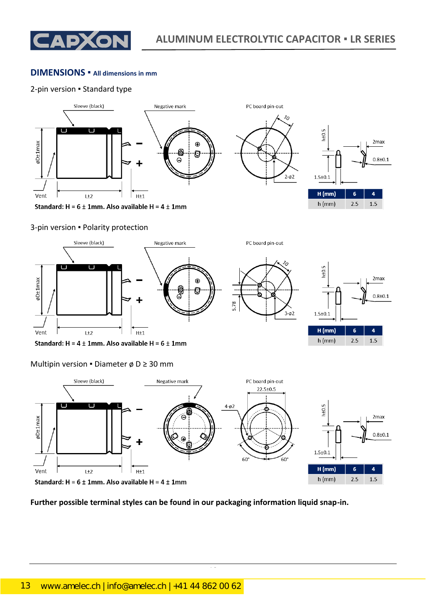

2<sub>max</sub>

 $0.8 + 0.1$ 

 $\overline{a}$ 

 $1.5$ 

#### **DIMENSIONS ▪ All dimensions in mm**

#### 2-pin version ▪ Standard type



#### 3-pin version ▪ Polarity protection



Standard:  $H = 4 \pm 1$ mm. Also available  $H = 6 \pm 1$ mm

#### Multipin version • Diameter ø D  $\geq$  30 mm



CapXon\_Ver. 002 – 08/18/2020 13 Document Number: LR series

## **Further possible terminal styles can be found in our packaging information liquid snap-in.**